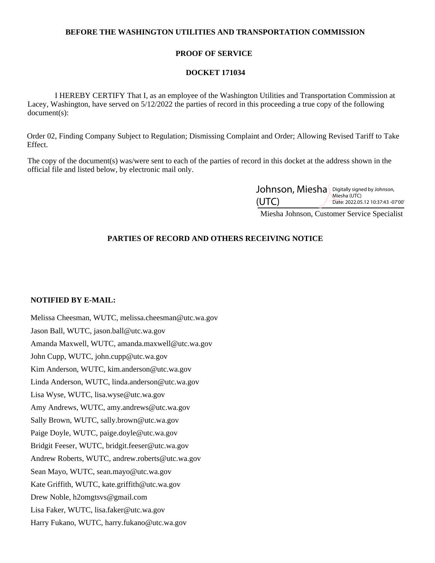# **BEFORE THE WASHINGTON UTILITIES AND TRANSPORTATION COMMISSION**

# **PROOF OF SERVICE**

### **DOCKET 171034**

 I HEREBY CERTIFY That I, as an employee of the Washington Utilities and Transportation Commission at Lacey, Washington, have served on 5/12/2022 the parties of record in this proceeding a true copy of the following document(s):

Order 02, Finding Company Subject to Regulation; Dismissing Complaint and Order; Allowing Revised Tariff to Take Effect.

The copy of the document(s) was/were sent to each of the parties of record in this docket at the address shown in the official file and listed below, by electronic mail only.

| Johnson, Miesha Digitally signed by Johnson, |                                                   |
|----------------------------------------------|---------------------------------------------------|
| (UTC)                                        | Miesha (UTC)<br>Date: 2022.05.12 10:37:43 -07'00' |

Miesha Johnson, Customer Service Specialist

# **PARTIES OF RECORD AND OTHERS RECEIVING NOTICE**

#### **NOTIFIED BY E-MAIL:**

Melissa Cheesman, WUTC, melissa.cheesman@utc.wa.gov Jason Ball, WUTC, jason.ball@utc.wa.gov Amanda Maxwell, WUTC, amanda.maxwell@utc.wa.gov John Cupp, WUTC, john.cupp@utc.wa.gov Kim Anderson, WUTC, kim.anderson@utc.wa.gov Linda Anderson, WUTC, linda.anderson@utc.wa.gov Lisa Wyse, WUTC, lisa.wyse@utc.wa.gov Amy Andrews, WUTC, amy.andrews@utc.wa.gov Sally Brown, WUTC, sally.brown@utc.wa.gov Paige Doyle, WUTC, paige.doyle@utc.wa.gov Bridgit Feeser, WUTC, bridgit.feeser@utc.wa.gov Andrew Roberts, WUTC, andrew.roberts@utc.wa.gov Sean Mayo, WUTC, sean.mayo@utc.wa.gov Kate Griffith, WUTC, kate.griffith@utc.wa.gov Drew Noble, h2omgtsvs@gmail.com Lisa Faker, WUTC, lisa.faker@utc.wa.gov Harry Fukano, WUTC, harry.fukano@utc.wa.gov